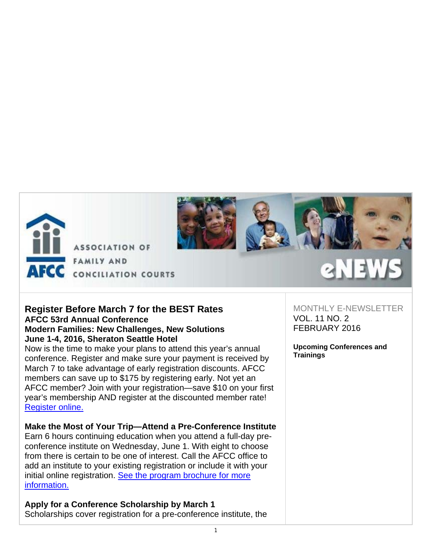

# **2NEW**

## **Register Before March 7 for the BEST Rates AFCC 53rd Annual Conference Modern Families: New Challenges, New Solutions June 1-4, 2016, Sheraton Seattle Hotel**

Now is the time to make your plans to attend this year's annual conference. Register and make sure your payment is received by March 7 to take advantage of early registration discounts. AFCC members can save up to \$175 by registering early. Not yet an AFCC member? Join with your registration—save \$10 on your first year's membership AND register at the discounted member rate! Register online.

## **Make the Most of Your Trip—Attend a Pre-Conference Institute**

Earn 6 hours continuing education when you attend a full-day preconference institute on Wednesday, June 1. With eight to choose from there is certain to be one of interest. Call the AFCC office to add an institute to your existing registration or include it with your initial online registration. See the program brochure for more information.

## **Apply for a Conference Scholarship by March 1**

Scholarships cover registration for a pre-conference institute, the

MONTHLY E-NEWSLETTER VOL. 11 NO. 2 FEBRUARY 2016

**Upcoming Conferences and Trainings**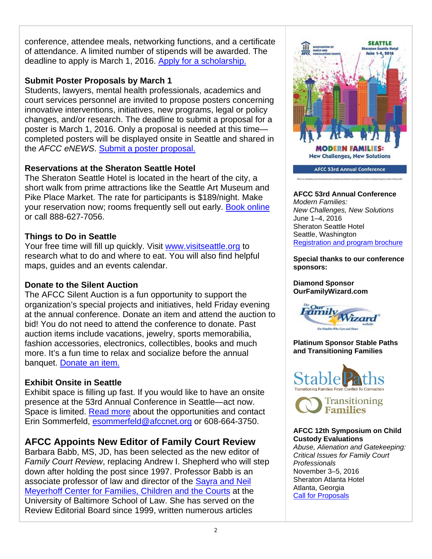conference, attendee meals, networking functions, and a certificate of attendance. A limited number of stipends will be awarded. The deadline to apply is March 1, 2016. Apply for a scholarship.

# **Submit Poster Proposals by March 1**

Students, lawyers, mental health professionals, academics and court services personnel are invited to propose posters concerning innovative interventions, initiatives, new programs, legal or policy changes, and/or research. The deadline to submit a proposal for a poster is March 1, 2016. Only a proposal is needed at this time completed posters will be displayed onsite in Seattle and shared in the *AFCC eNEWS*. Submit a poster proposal.

# **Reservations at the Sheraton Seattle Hotel**

The Sheraton Seattle Hotel is located in the heart of the city, a short walk from prime attractions like the Seattle Art Museum and Pike Place Market. The rate for participants is \$189/night. Make your reservation now; rooms frequently sell out early. Book online or call 888-627-7056.

# **Things to Do in Seattle**

Your free time will fill up quickly. Visit www.visitseattle.org to research what to do and where to eat. You will also find helpful maps, guides and an events calendar.

# **Donate to the Silent Auction**

The AFCC Silent Auction is a fun opportunity to support the organization's special projects and initiatives, held Friday evening at the annual conference. Donate an item and attend the auction to bid! You do not need to attend the conference to donate. Past auction items include vacations, jewelry, sports memorabilia, fashion accessories, electronics, collectibles, books and much more. It's a fun time to relax and socialize before the annual banquet. Donate an item.

# **Exhibit Onsite in Seattle**

Exhibit space is filling up fast. If you would like to have an onsite presence at the 53rd Annual Conference in Seattle—act now. Space is limited. Read more about the opportunities and contact Erin Sommerfeld, esommerfeld@afccnet.org or 608-664-3750.

# **AFCC Appoints New Editor of Family Court Review**

Barbara Babb, MS, JD, has been selected as the new editor of *Family Court Review*, replacing Andrew I. Shepherd who will step down after holding the post since 1997. Professor Babb is an associate professor of law and director of the Sayra and Neil Meyerhoff Center for Families, Children and the Courts at the University of Baltimore School of Law. She has served on the Review Editorial Board since 1999, written numerous articles



**AFCC 53rd Annual Conference**  *Modern Families: New Challenges, New Solutions* June 1–4, 2016 Sheraton Seattle Hotel Seattle, Washington Registration and program brochure

**Special thanks to our conference sponsors:** 

**Diamond Sponsor OurFamilyWizard.com** 



**Platinum Sponsor Stable Paths and Transitioning Families** 



**Transitioning Families** 

#### **AFCC 12th Symposium on Child Custody Evaluations**

*Abuse, Alienation and Gatekeeping: Critical Issues for Family Court Professionals* November 3–5, 2016 Sheraton Atlanta Hotel Atlanta, Georgia Call for Proposals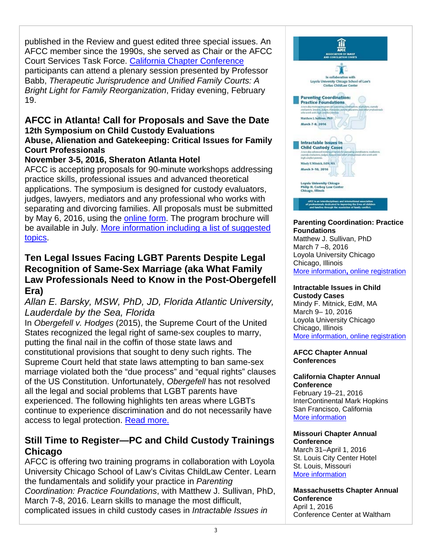published in the Review and guest edited three special issues. An AFCC member since the 1990s, she served as Chair or the AFCC Court Services Task Force. California Chapter Conference participants can attend a plenary session presented by Professor Babb, *Therapeutic Jurisprudence and Unified Family Courts: A Bright Light for Family Reorganization*, Friday evening, February 19.

# **AFCC in Atlanta! Call for Proposals and Save the Date 12th Symposium on Child Custody Evaluations**

# **Abuse, Alienation and Gatekeeping: Critical Issues for Family Court Professionals**

# **November 3-5, 2016, Sheraton Atlanta Hotel**

AFCC is accepting proposals for 90-minute workshops addressing practice skills, professional issues and advanced theoretical applications. The symposium is designed for custody evaluators, judges, lawyers, mediators and any professional who works with separating and divorcing families. All proposals must be submitted by May 6, 2016, using the online form. The program brochure will be available in July. More information including a list of suggested topics.

# **Ten Legal Issues Facing LGBT Parents Despite Legal Recognition of Same-Sex Marriage (aka What Family Law Professionals Need to Know in the Post-Obergefell Era)**

# *Allan E. Barsky, MSW, PhD, JD, Florida Atlantic University, Lauderdale by the Sea, Florida*

In *Obergefell v. Hodges* (2015), the Supreme Court of the United States recognized the legal right of same-sex couples to marry, putting the final nail in the coffin of those state laws and constitutional provisions that sought to deny such rights. The Supreme Court held that state laws attempting to ban same-sex marriage violated both the "due process" and "equal rights" clauses of the US Constitution. Unfortunately, *Obergefell* has not resolved all the legal and social problems that LGBT parents have experienced. The following highlights ten areas where LGBTs continue to experience discrimination and do not necessarily have access to legal protection. Read more.

# **Still Time to Register—PC and Child Custody Trainings Chicago**

AFCC is offering two training programs in collaboration with Loyola University Chicago School of Law's Civitas ChildLaw Center. Learn the fundamentals and solidify your practice in *Parenting Coordination: Practice Foundations*, with Matthew J. Sullivan, PhD, March 7-8, 2016. Learn skills to manage the most difficult, complicated issues in child custody cases in *Intractable Issues in* 



#### **Parenting Coordination: Practice Foundations**

Matthew J. Sullivan, PhD March 7 –8, 2016 Loyola University Chicago Chicago, Illinois More information**,** online registration

## **Intractable Issues in Child**

**Custody Cases**  Mindy F. Mitnick, EdM, MA March 9– 10, 2016 Loyola University Chicago Chicago, Illinois More information, online registration

#### **AFCC Chapter Annual Conferences**

# **California Chapter Annual**

**Conference** February 19–21, 2016 InterContinental Mark Hopkins San Francisco, California More information

#### **Missouri Chapter Annual Conference** March 31–April 1, 2016 St. Louis City Center Hotel St. Louis, Missouri More information

**Massachusetts Chapter Annual Conference** April 1, 2016 Conference Center at Waltham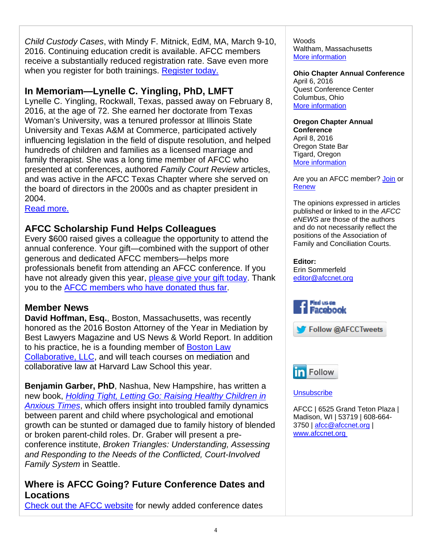*Child Custody Cases*, with Mindy F. Mitnick, EdM, MA, March 9-10, 2016. Continuing education credit is available. AFCC members receive a substantially reduced registration rate. Save even more when you register for both trainings. Register today.

# **In Memoriam—Lynelle C. Yingling, PhD, LMFT**

Lynelle C. Yingling, Rockwall, Texas, passed away on February 8, 2016, at the age of 72. She earned her doctorate from Texas Woman's University, was a tenured professor at Illinois State University and Texas A&M at Commerce, participated actively influencing legislation in the field of dispute resolution, and helped hundreds of children and families as a licensed marriage and family therapist. She was a long time member of AFCC who presented at conferences, authored *Family Court Review* articles, and was active in the AFCC Texas Chapter where she served on the board of directors in the 2000s and as chapter president in 2004.

Read more.

# **AFCC Scholarship Fund Helps Colleagues**

Every \$600 raised gives a colleague the opportunity to attend the annual conference. Your gift—combined with the support of other generous and dedicated AFCC members—helps more professionals benefit from attending an AFCC conference. If you have not already given this year, please give your gift today. Thank you to the AFCC members who have donated thus far.

# **Member News**

**David Hoffman, Esq.**, Boston, Massachusetts, was recently honored as the 2016 Boston Attorney of the Year in Mediation by Best Lawyers Magazine and US News & World Report. In addition to his practice, he is a founding member of Boston Law Collaborative, LLC, and will teach courses on mediation and collaborative law at Harvard Law School this year.

**Benjamin Garber, PhD**, Nashua, New Hampshire, has written a new book, *Holding Tight, Letting Go: Raising Healthy Children in Anxious Times*, which offers insight into troubled family dynamics between parent and child where psychological and emotional growth can be stunted or damaged due to family history of blended or broken parent-child roles. Dr. Graber will present a preconference institute, *Broken Triangles: Understanding, Assessing and Responding to the Needs of the Conflicted, Court-Involved Family System* in Seattle.

# **Where is AFCC Going? Future Conference Dates and Locations**

Check out the AFCC website for newly added conference dates

Woods Waltham, Massachusetts More information

**Ohio Chapter Annual Conference** April 6, 2016 Quest Conference Center Columbus, Ohio More information

#### **Oregon Chapter Annual Conference** April 8, 2016 Oregon State Bar Tigard, Oregon

More information

Are you an AFCC member? Join or Renew

The opinions expressed in articles published or linked to in the *AFCC eNEWS* are those of the authors and do not necessarily reflect the positions of the Association of Family and Conciliation Courts.

**Editor:**  Erin Sommerfeld editor@afccnet.org







## **Unsubscribe**

AFCC | 6525 Grand Teton Plaza | Madison, WI | 53719 | 608-664- 3750 | afcc@afccnet.org | www.afccnet.org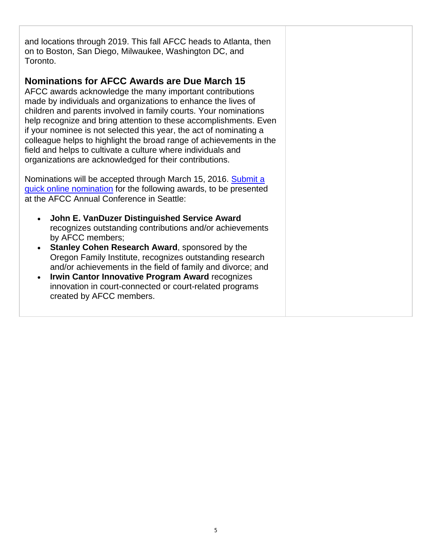and locations through 2019. This fall AFCC heads to Atlanta, then on to Boston, San Diego, Milwaukee, Washington DC, and Toronto.

# **Nominations for AFCC Awards are Due March 15**

AFCC awards acknowledge the many important contributions made by individuals and organizations to enhance the lives of children and parents involved in family courts. Your nominations help recognize and bring attention to these accomplishments. Even if your nominee is not selected this year, the act of nominating a colleague helps to highlight the broad range of achievements in the field and helps to cultivate a culture where individuals and organizations are acknowledged for their contributions.

Nominations will be accepted through March 15, 2016. Submit a quick online nomination for the following awards, to be presented at the AFCC Annual Conference in Seattle:

- **John E. VanDuzer Distinguished Service Award** recognizes outstanding contributions and/or achievements by AFCC members;
- **Stanley Cohen Research Award**, sponsored by the Oregon Family Institute, recognizes outstanding research and/or achievements in the field of family and divorce; and
- **Irwin Cantor Innovative Program Award** recognizes innovation in court-connected or court-related programs created by AFCC members.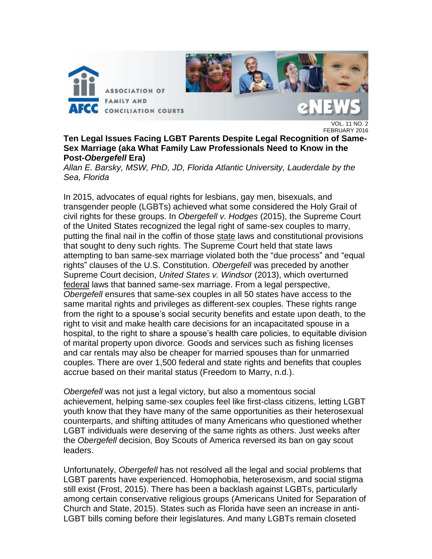

FEBRUARY 2016 **Ten Legal Issues Facing LGBT Parents Despite Legal Recognition of Same-Sex Marriage (aka What Family Law Professionals Need to Know in the Post-***Obergefell* **Era)** 

*Allan E. Barsky, MSW, PhD, JD, Florida Atlantic University, Lauderdale by the Sea, Florida* 

In 2015, advocates of equal rights for lesbians, gay men, bisexuals, and transgender people (LGBTs) achieved what some considered the Holy Grail of civil rights for these groups. In *Obergefell v. Hodges* (2015), the Supreme Court of the United States recognized the legal right of same-sex couples to marry, putting the final nail in the coffin of those state laws and constitutional provisions that sought to deny such rights. The Supreme Court held that state laws attempting to ban same-sex marriage violated both the "due process" and "equal rights" clauses of the U.S. Constitution. *Obergefell* was preceded by another Supreme Court decision, *United States v. Windsor* (2013), which overturned federal laws that banned same-sex marriage. From a legal perspective, *Obergefell* ensures that same-sex couples in all 50 states have access to the same marital rights and privileges as different-sex couples. These rights range from the right to a spouse's social security benefits and estate upon death, to the right to visit and make health care decisions for an incapacitated spouse in a hospital, to the right to share a spouse's health care policies, to equitable division of marital property upon divorce. Goods and services such as fishing licenses and car rentals may also be cheaper for married spouses than for unmarried couples. There are over 1,500 federal and state rights and benefits that couples accrue based on their marital status (Freedom to Marry, n.d.).

*Obergefell* was not just a legal victory, but also a momentous social achievement, helping same-sex couples feel like first-class citizens, letting LGBT youth know that they have many of the same opportunities as their heterosexual counterparts, and shifting attitudes of many Americans who questioned whether LGBT individuals were deserving of the same rights as others. Just weeks after the *Obergefell* decision, Boy Scouts of America reversed its ban on gay scout leaders.

Unfortunately, *Obergefell* has not resolved all the legal and social problems that LGBT parents have experienced. Homophobia, heterosexism, and social stigma still exist (Frost, 2015). There has been a backlash against LGBTs, particularly among certain conservative religious groups (Americans United for Separation of Church and State, 2015). States such as Florida have seen an increase in anti-LGBT bills coming before their legislatures. And many LGBTs remain closeted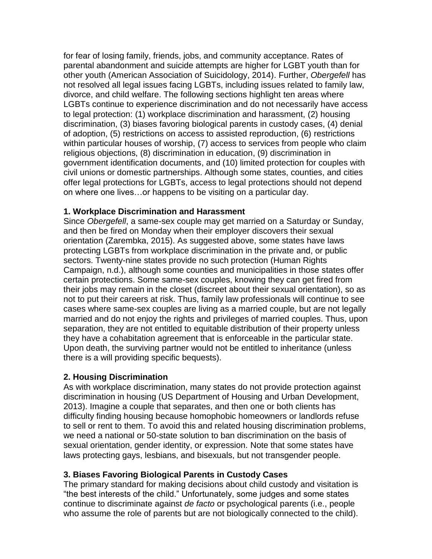for fear of losing family, friends, jobs, and community acceptance. Rates of parental abandonment and suicide attempts are higher for LGBT youth than for other youth (American Association of Suicidology, 2014). Further, *Obergefell* has not resolved all legal issues facing LGBTs, including issues related to family law, divorce, and child welfare. The following sections highlight ten areas where LGBTs continue to experience discrimination and do not necessarily have access to legal protection: (1) workplace discrimination and harassment, (2) housing discrimination, (3) biases favoring biological parents in custody cases, (4) denial of adoption, (5) restrictions on access to assisted reproduction, (6) restrictions within particular houses of worship, (7) access to services from people who claim religious objections, (8) discrimination in education, (9) discrimination in government identification documents, and (10) limited protection for couples with civil unions or domestic partnerships. Although some states, counties, and cities offer legal protections for LGBTs, access to legal protections should not depend on where one lives…or happens to be visiting on a particular day.

## **1. Workplace Discrimination and Harassment**

Since *Obergefell*, a same-sex couple may get married on a Saturday or Sunday, and then be fired on Monday when their employer discovers their sexual orientation (Zarembka, 2015). As suggested above, some states have laws protecting LGBTs from workplace discrimination in the private and, or public sectors. Twenty-nine states provide no such protection (Human Rights Campaign, n.d.), although some counties and municipalities in those states offer certain protections. Some same-sex couples, knowing they can get fired from their jobs may remain in the closet (discreet about their sexual orientation), so as not to put their careers at risk. Thus, family law professionals will continue to see cases where same-sex couples are living as a married couple, but are not legally married and do not enjoy the rights and privileges of married couples. Thus, upon separation, they are not entitled to equitable distribution of their property unless they have a cohabitation agreement that is enforceable in the particular state. Upon death, the surviving partner would not be entitled to inheritance (unless there is a will providing specific bequests).

### **2. Housing Discrimination**

As with workplace discrimination, many states do not provide protection against discrimination in housing (US Department of Housing and Urban Development, 2013). Imagine a couple that separates, and then one or both clients has difficulty finding housing because homophobic homeowners or landlords refuse to sell or rent to them. To avoid this and related housing discrimination problems, we need a national or 50-state solution to ban discrimination on the basis of sexual orientation, gender identity, or expression. Note that some states have laws protecting gays, lesbians, and bisexuals, but not transgender people.

## **3. Biases Favoring Biological Parents in Custody Cases**

The primary standard for making decisions about child custody and visitation is "the best interests of the child." Unfortunately, some judges and some states continue to discriminate against *de facto* or psychological parents (i.e., people who assume the role of parents but are not biologically connected to the child).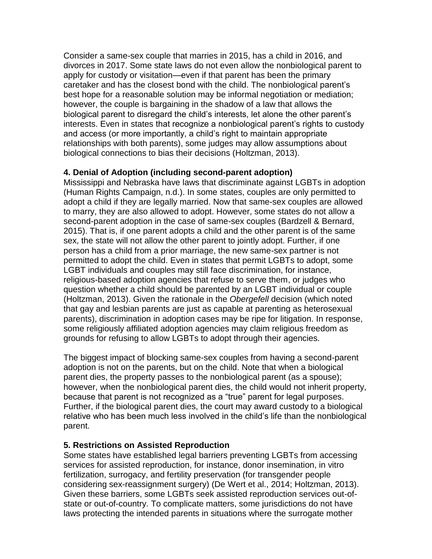Consider a same-sex couple that marries in 2015, has a child in 2016, and divorces in 2017. Some state laws do not even allow the nonbiological parent to apply for custody or visitation—even if that parent has been the primary caretaker and has the closest bond with the child. The nonbiological parent's best hope for a reasonable solution may be informal negotiation or mediation; however, the couple is bargaining in the shadow of a law that allows the biological parent to disregard the child's interests, let alone the other parent's interests. Even in states that recognize a nonbiological parent's rights to custody and access (or more importantly, a child's right to maintain appropriate relationships with both parents), some judges may allow assumptions about biological connections to bias their decisions (Holtzman, 2013).

## **4. Denial of Adoption (including second-parent adoption)**

Mississippi and Nebraska have laws that discriminate against LGBTs in adoption (Human Rights Campaign, n.d.). In some states, couples are only permitted to adopt a child if they are legally married. Now that same-sex couples are allowed to marry, they are also allowed to adopt. However, some states do not allow a second-parent adoption in the case of same-sex couples (Bardzell & Bernard, 2015). That is, if one parent adopts a child and the other parent is of the same sex, the state will not allow the other parent to jointly adopt. Further, if one person has a child from a prior marriage, the new same-sex partner is not permitted to adopt the child. Even in states that permit LGBTs to adopt, some LGBT individuals and couples may still face discrimination, for instance, religious-based adoption agencies that refuse to serve them, or judges who question whether a child should be parented by an LGBT individual or couple (Holtzman, 2013). Given the rationale in the *Obergefell* decision (which noted that gay and lesbian parents are just as capable at parenting as heterosexual parents), discrimination in adoption cases may be ripe for litigation. In response, some religiously affiliated adoption agencies may claim religious freedom as grounds for refusing to allow LGBTs to adopt through their agencies.

The biggest impact of blocking same-sex couples from having a second-parent adoption is not on the parents, but on the child. Note that when a biological parent dies, the property passes to the nonbiological parent (as a spouse); however, when the nonbiological parent dies, the child would not inherit property, because that parent is not recognized as a "true" parent for legal purposes. Further, if the biological parent dies, the court may award custody to a biological relative who has been much less involved in the child's life than the nonbiological parent.

## **5. Restrictions on Assisted Reproduction**

Some states have established legal barriers preventing LGBTs from accessing services for assisted reproduction, for instance, donor insemination, in vitro fertilization, surrogacy, and fertility preservation (for transgender people considering sex-reassignment surgery) (De Wert et al., 2014; Holtzman, 2013). Given these barriers, some LGBTs seek assisted reproduction services out-ofstate or out-of-country. To complicate matters, some jurisdictions do not have laws protecting the intended parents in situations where the surrogate mother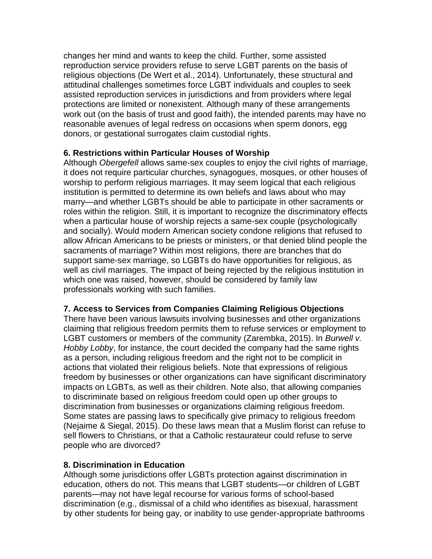changes her mind and wants to keep the child. Further, some assisted reproduction service providers refuse to serve LGBT parents on the basis of religious objections (De Wert et al., 2014). Unfortunately, these structural and attitudinal challenges sometimes force LGBT individuals and couples to seek assisted reproduction services in jurisdictions and from providers where legal protections are limited or nonexistent. Although many of these arrangements work out (on the basis of trust and good faith), the intended parents may have no reasonable avenues of legal redress on occasions when sperm donors, egg donors, or gestational surrogates claim custodial rights.

## **6. Restrictions within Particular Houses of Worship**

Although *Obergefell* allows same-sex couples to enjoy the civil rights of marriage, it does not require particular churches, synagogues, mosques, or other houses of worship to perform religious marriages. It may seem logical that each religious institution is permitted to determine its own beliefs and laws about who may marry—and whether LGBTs should be able to participate in other sacraments or roles within the religion. Still, it is important to recognize the discriminatory effects when a particular house of worship rejects a same-sex couple (psychologically and socially). Would modern American society condone religions that refused to allow African Americans to be priests or ministers, or that denied blind people the sacraments of marriage? Within most religions, there are branches that do support same-sex marriage, so LGBTs do have opportunities for religious, as well as civil marriages. The impact of being rejected by the religious institution in which one was raised, however, should be considered by family law professionals working with such families.

## **7. Access to Services from Companies Claiming Religious Objections**

There have been various lawsuits involving businesses and other organizations claiming that religious freedom permits them to refuse services or employment to LGBT customers or members of the community (Zarembka, 2015). In *Burwell v. Hobby Lobby*, for instance, the court decided the company had the same rights as a person, including religious freedom and the right not to be complicit in actions that violated their religious beliefs. Note that expressions of religious freedom by businesses or other organizations can have significant discriminatory impacts on LGBTs, as well as their children. Note also, that allowing companies to discriminate based on religious freedom could open up other groups to discrimination from businesses or organizations claiming religious freedom. Some states are passing laws to specifically give primacy to religious freedom (Nejaime & Siegal, 2015). Do these laws mean that a Muslim florist can refuse to sell flowers to Christians, or that a Catholic restaurateur could refuse to serve people who are divorced?

## **8. Discrimination in Education**

Although some jurisdictions offer LGBTs protection against discrimination in education, others do not. This means that LGBT students—or children of LGBT parents—may not have legal recourse for various forms of school-based discrimination (e.g., dismissal of a child who identifies as bisexual, harassment by other students for being gay, or inability to use gender-appropriate bathrooms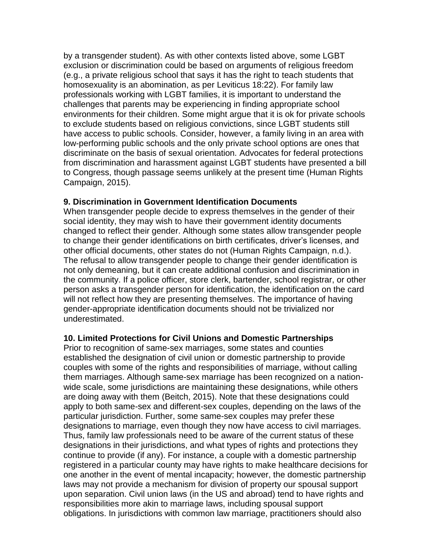by a transgender student). As with other contexts listed above, some LGBT exclusion or discrimination could be based on arguments of religious freedom (e.g., a private religious school that says it has the right to teach students that homosexuality is an abomination, as per Leviticus 18:22). For family law professionals working with LGBT families, it is important to understand the challenges that parents may be experiencing in finding appropriate school environments for their children. Some might argue that it is ok for private schools to exclude students based on religious convictions, since LGBT students still have access to public schools. Consider, however, a family living in an area with low-performing public schools and the only private school options are ones that discriminate on the basis of sexual orientation. Advocates for federal protections from discrimination and harassment against LGBT students have presented a bill to Congress, though passage seems unlikely at the present time (Human Rights Campaign, 2015).

## **9. Discrimination in Government Identification Documents**

When transgender people decide to express themselves in the gender of their social identity, they may wish to have their government identity documents changed to reflect their gender. Although some states allow transgender people to change their gender identifications on birth certificates, driver's licenses, and other official documents, other states do not (Human Rights Campaign, n.d.). The refusal to allow transgender people to change their gender identification is not only demeaning, but it can create additional confusion and discrimination in the community. If a police officer, store clerk, bartender, school registrar, or other person asks a transgender person for identification, the identification on the card will not reflect how they are presenting themselves. The importance of having gender-appropriate identification documents should not be trivialized nor underestimated.

## **10. Limited Protections for Civil Unions and Domestic Partnerships**

Prior to recognition of same-sex marriages, some states and counties established the designation of civil union or domestic partnership to provide couples with some of the rights and responsibilities of marriage, without calling them marriages. Although same-sex marriage has been recognized on a nationwide scale, some jurisdictions are maintaining these designations, while others are doing away with them (Beitch, 2015). Note that these designations could apply to both same-sex and different-sex couples, depending on the laws of the particular jurisdiction. Further, some same-sex couples may prefer these designations to marriage, even though they now have access to civil marriages. Thus, family law professionals need to be aware of the current status of these designations in their jurisdictions, and what types of rights and protections they continue to provide (if any). For instance, a couple with a domestic partnership registered in a particular county may have rights to make healthcare decisions for one another in the event of mental incapacity; however, the domestic partnership laws may not provide a mechanism for division of property our spousal support upon separation. Civil union laws (in the US and abroad) tend to have rights and responsibilities more akin to marriage laws, including spousal support obligations. In jurisdictions with common law marriage, practitioners should also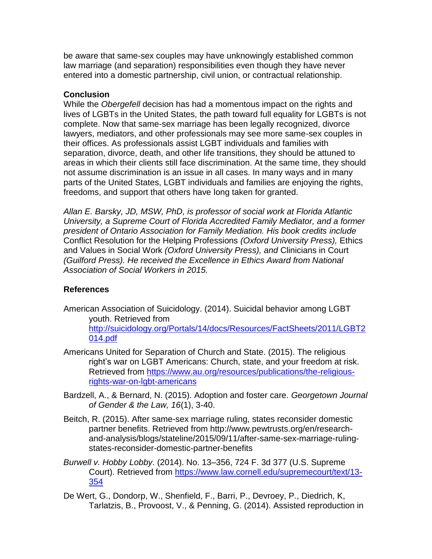be aware that same-sex couples may have unknowingly established common law marriage (and separation) responsibilities even though they have never entered into a domestic partnership, civil union, or contractual relationship.

## **Conclusion**

While the *Obergefell* decision has had a momentous impact on the rights and lives of LGBTs in the United States, the path toward full equality for LGBTs is not complete. Now that same-sex marriage has been legally recognized, divorce lawyers, mediators, and other professionals may see more same-sex couples in their offices. As professionals assist LGBT individuals and families with separation, divorce, death, and other life transitions, they should be attuned to areas in which their clients still face discrimination. At the same time, they should not assume discrimination is an issue in all cases. In many ways and in many parts of the United States, LGBT individuals and families are enjoying the rights, freedoms, and support that others have long taken for granted.

*Allan E. Barsky, JD, MSW, PhD, is professor of social work at Florida Atlantic University, a Supreme Court of Florida Accredited Family Mediator, and a former president of Ontario Association for Family Mediation. His book credits include*  Conflict Resolution for the Helping Professions *(Oxford University Press),* Ethics and Values in Social Work *(Oxford University Press), and* Clinicians in Court *(Guilford Press). He received the Excellence in Ethics Award from National Association of Social Workers in 2015.* 

## **References**

- American Association of Suicidology. (2014). Suicidal behavior among LGBT youth. Retrieved from [http://suicidology.org/Portals/14/docs/Resources/FactSheets/2011/LGBT2](http://suicidology.org/Portals/14/docs/Resources/FactSheets/2011/LGBT2014.pdf) [014.pdf](http://suicidology.org/Portals/14/docs/Resources/FactSheets/2011/LGBT2014.pdf)
- Americans United for Separation of Church and State. (2015). The religious right's war on LGBT Americans: Church, state, and your freedom at risk. Retrieved from [https://www.au.org/resources/publications/the-religious](https://www.au.org/resources/publications/the-religious-rights-war-on-lgbt-americans)[rights-war-on-lgbt-americans](https://www.au.org/resources/publications/the-religious-rights-war-on-lgbt-americans)
- Bardzell, A., & Bernard, N. (2015). Adoption and foster care. *Georgetown Journal of Gender & the Law, 16*(1), 3-40.
- Beitch, R. (2015). After same-sex marriage ruling, states reconsider domestic partner benefits. Retrieved from http://www.pewtrusts.org/en/researchand-analysis/blogs/stateline/2015/09/11/after-same-sex-marriage-rulingstates-reconsider-domestic-partner-benefits
- *Burwell v. Hobby Lobby*. (2014). No. 13–356, 724 F. 3d 377 (U.S. Supreme Court). Retrieved from [https://www.law.cornell.edu/supremecourt/text/13-](https://www.law.cornell.edu/supremecourt/text/13-354) [354](https://www.law.cornell.edu/supremecourt/text/13-354)
- De Wert, G., Dondorp, W., Shenfield, F., Barri, P., Devroey, P., Diedrich, K, Tarlatzis, B., Provoost, V., & Penning, G. (2014). Assisted reproduction in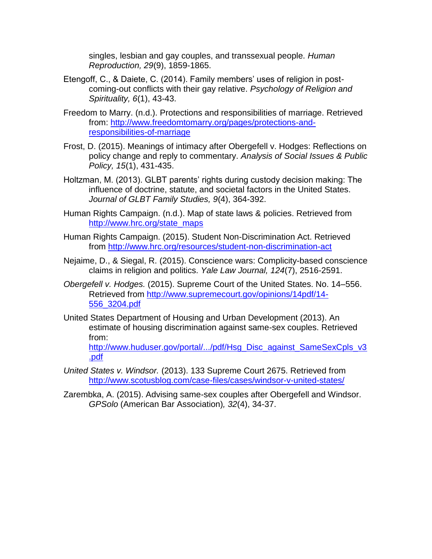singles, lesbian and gay couples, and transsexual people. *Human Reproduction, 29*(9), 1859-1865.

- Etengoff, C., & Daiete, C. (2014). Family members' uses of religion in postcoming-out conflicts with their gay relative. *Psychology of Religion and Spirituality, 6*(1), 43-43.
- Freedom to Marry. (n.d.). Protections and responsibilities of marriage. Retrieved from: [http://www.freedomtomarry.org/pages/protections-and](http://www.freedomtomarry.org/pages/protections-and-responsibilities-of-marriage)[responsibilities-of-marriage](http://www.freedomtomarry.org/pages/protections-and-responsibilities-of-marriage)
- Frost, D. (2015). Meanings of intimacy after Obergefell v. Hodges: Reflections on policy change and reply to commentary. *Analysis of Social Issues & Public Policy, 15*(1), 431-435.
- Holtzman, M. (2013). GLBT parents' rights during custody decision making: The influence of doctrine, statute, and societal factors in the United States. *Journal of GLBT Family Studies, 9*(4), 364-392.
- Human Rights Campaign. (n.d.). Map of state laws & policies. Retrieved from [http://www.hrc.org/state\\_maps](http://www.hrc.org/state_maps)
- Human Rights Campaign. (2015). Student Non-Discrimination Act. Retrieved from<http://www.hrc.org/resources/student-non-discrimination-act>
- Nejaime, D., & Siegal, R. (2015). Conscience wars: Complicity-based conscience claims in religion and politics. *Yale Law Journal, 124*(7), 2516-2591.
- *Obergefell v. Hodges.* (2015). Supreme Court of the United States. No. 14–556. Retrieved from [http://www.supremecourt.gov/opinions/14pdf/14-](http://www.supremecourt.gov/opinions/14pdf/14-556_3204.pdf) [556\\_3204.pdf](http://www.supremecourt.gov/opinions/14pdf/14-556_3204.pdf)
- United States Department of Housing and Urban Development (2013). An estimate of housing discrimination against same-sex couples. Retrieved from:

[http://www.huduser.gov/portal/.../pdf/Hsg\\_Disc\\_against\\_SameSexCpls\\_v3](http://www.huduser.gov/portal/.../pdf/Hsg_Disc_against_SameSexCpls_v3.pdf) [.pdf](http://www.huduser.gov/portal/.../pdf/Hsg_Disc_against_SameSexCpls_v3.pdf)

- *United States v. Windsor.* (2013). 133 Supreme Court 2675. Retrieved from <http://www.scotusblog.com/case-files/cases/windsor-v-united-states/>
- Zarembka, A. (2015). Advising same-sex couples after Obergefell and Windsor. *GPSolo* (American Bar Association)*, 32*(4), 34-37.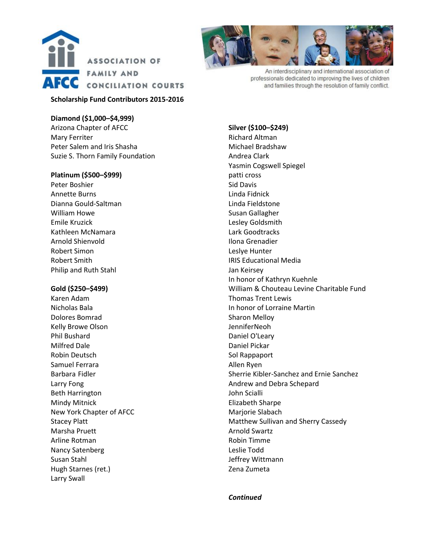

#### **Scholarship Fund Contributors 2015-2016**

#### **Diamond (\$1,000–\$4,999)**

Arizona Chapter of AFCC Mary Ferriter Peter Salem and Iris Shasha Suzie S. Thorn Family Foundation

#### **Platinum (\$500–\$999)**

Peter Boshier Annette Burns Dianna Gould-Saltman William Howe Emile Kruzick Kathleen McNamara Arnold Shienvold Robert Simon Robert Smith Philip and Ruth Stahl

#### **Gold (\$250–\$499)**

Karen Adam Nicholas Bala Dolores Bomrad Kelly Browe Olson Phil Bushard Milfred Dale Robin Deutsch Samuel Ferrara Barbara Fidler Larry Fong Beth Harrington Mindy Mitnick New York Chapter of AFCC Stacey Platt Marsha Pruett Arline Rotman Nancy Satenberg Susan Stahl Hugh Starnes (ret.) Larry Swall



An interdisciplinary and international association of professionals dedicated to improving the lives of children and families through the resolution of family conflict.

## **Silver (\$100–\$249)** Richard Altman Michael Bradshaw Andrea Clark Yasmin Cogswell Spiegel patti cross Sid Davis Linda Fidnick Linda Fieldstone Susan Gallagher Lesley Goldsmith Lark Goodtracks Ilona Grenadier Leslye Hunter IRIS Educational Media Jan Keirsey In honor of Kathryn Kuehnle William & Chouteau Levine Charitable Fund Thomas Trent Lewis In honor of Lorraine Martin Sharon Melloy Jennifer Neoh Daniel O'Leary Daniel Pickar Sol Rappaport Allen Ryen Sherrie Kibler-Sanchez and Ernie Sanchez Andrew and Debra Schepard John Scialli Elizabeth Sharpe Marjorie Slabach Matthew Sullivan and Sherry Cassedy Arnold Swartz Robin Timme Leslie Todd Jeffrey Wittmann Zena Zumeta

#### *Continued*